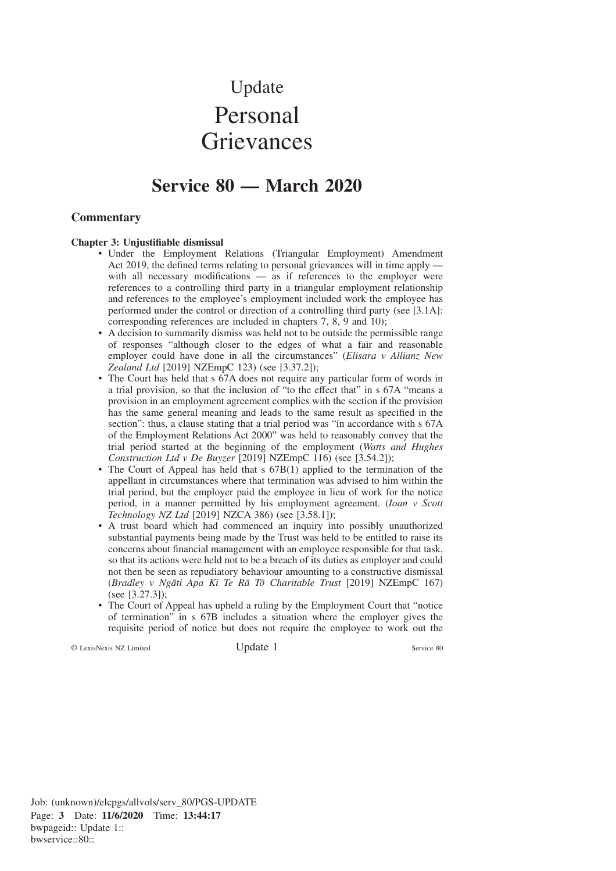# Update Personal **Grievances**

# **Service 80 — March 2020**

# **Commentary**

#### **Chapter 3: Unjustifiable dismissal**

- Under the Employment Relations (Triangular Employment) Amendment Act 2019, the defined terms relating to personal grievances will in time apply with all necessary modifications — as if references to the employer were references to a controlling third party in a triangular employment relationship and references to the employee's employment included work the employee has performed under the control or direction of a controlling third party (see [3.1A]: corresponding references are included in chapters 7, 8, 9 and 10);
- A decision to summarily dismiss was held not to be outside the permissible range of responses "although closer to the edges of what a fair and reasonable employer could have done in all the circumstances" (*Elisara v Allianz New Zealand Ltd* [2019] NZEmpC 123) (see [3.37.2]);
- The Court has held that s 67A does not require any particular form of words in a trial provision, so that the inclusion of "to the effect that" in s 67A "means a provision in an employment agreement complies with the section if the provision has the same general meaning and leads to the same result as specified in the section": thus, a clause stating that a trial period was "in accordance with s  $67A$ of the Employment Relations Act 2000" was held to reasonably convey that the trial period started at the beginning of the employment (*Watts and Hughes Construction Ltd v De Buyzer* [2019] NZEmpC 116) (see [3.54.2]);
- The Court of Appeal has held that s 67B(1) applied to the termination of the appellant in circumstances where that termination was advised to him within the trial period, but the employer paid the employee in lieu of work for the notice period, in a manner permitted by his employment agreement. (*Ioan v Scott Technology NZ Ltd* [2019] NZCA 386) (see [3.58.1]);
- A trust board which had commenced an inquiry into possibly unauthorized substantial payments being made by the Trust was held to be entitled to raise its concerns about financial management with an employee responsible for that task, so that its actions were held not to be a breach of its duties as employer and could not then be seen as repudiatory behaviour amounting to a constructive dismissal (*Bradley v Nga¯ti Apa Ki Te Ra¯ To¯ Charitable Trust* [2019] NZEmpC 167) (see [3.27.3]);
- The Court of Appeal has upheld a ruling by the Employment Court that "notice of termination" in s 67B includes a situation where the employer gives the requisite period of notice but does not require the employee to work out the

© LexisNexis NZ Limited Update 1 Service 80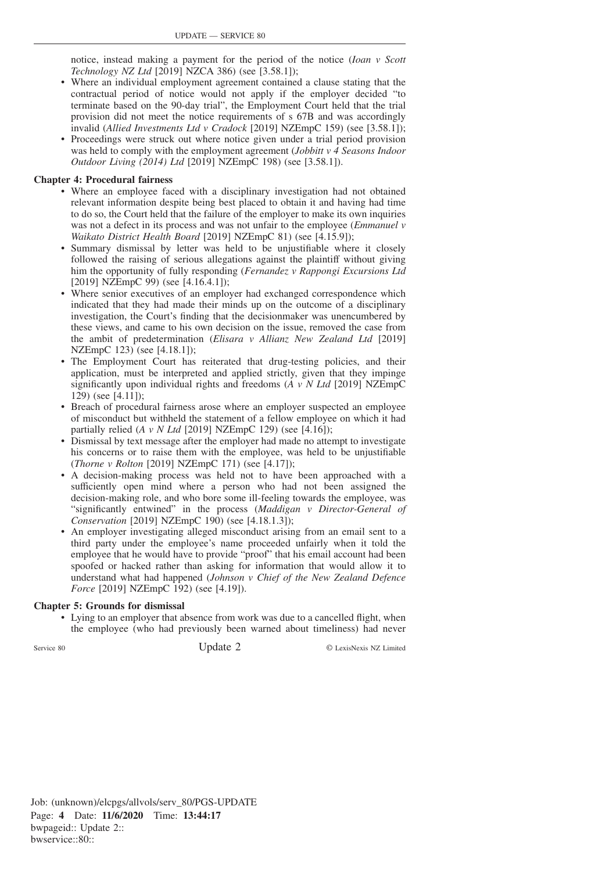notice, instead making a payment for the period of the notice (*Ioan v Scott Technology NZ Ltd* [2019] NZCA 386) (see [3.58.1]);

- Where an individual employment agreement contained a clause stating that the contractual period of notice would not apply if the employer decided "to terminate based on the 90-day trial", the Employment Court held that the trial provision did not meet the notice requirements of s 67B and was accordingly invalid (*Allied Investments Ltd v Cradock* [2019] NZEmpC 159) (see [3.58.1]);
- Proceedings were struck out where notice given under a trial period provision was held to comply with the employment agreement (*Jobbitt v 4 Seasons Indoor Outdoor Living (2014) Ltd* [2019] NZEmpC 198) (see [3.58.1]).

# **Chapter 4: Procedural fairness**

- Where an employee faced with a disciplinary investigation had not obtained relevant information despite being best placed to obtain it and having had time to do so, the Court held that the failure of the employer to make its own inquiries was not a defect in its process and was not unfair to the employee (*Emmanuel v Waikato District Health Board* [2019] NZEmpC 81) (see [4.15.9]);
- Summary dismissal by letter was held to be unjustifiable where it closely followed the raising of serious allegations against the plaintiff without giving him the opportunity of fully responding (*Fernandez v Rappongi Excursions Ltd* [2019] NZEmpC 99) (see [4.16.4.1]);
- Where senior executives of an employer had exchanged correspondence which indicated that they had made their minds up on the outcome of a disciplinary investigation, the Court's finding that the decisionmaker was unencumbered by these views, and came to his own decision on the issue, removed the case from the ambit of predetermination (*Elisara v Allianz New Zealand Ltd* [2019] NZEmpC 123) (see [4.18.1]);
- The Employment Court has reiterated that drug-testing policies, and their application, must be interpreted and applied strictly, given that they impinge significantly upon individual rights and freedoms (*A v N Ltd* [2019] NZEmpC 129) (see [4.11]);
- Breach of procedural fairness arose where an employer suspected an employee of misconduct but withheld the statement of a fellow employee on which it had partially relied  $(A \, v \, N \, Ltd$  [2019] NZEmpC 129) (see [4.16]);
- Dismissal by text message after the employer had made no attempt to investigate his concerns or to raise them with the employee, was held to be unjustifiable (*Thorne v Rolton* [2019] NZEmpC 171) (see [4.17]);
- A decision-making process was held not to have been approached with a sufficiently open mind where a person who had not been assigned the decision-making role, and who bore some ill-feeling towards the employee, was "significantly entwined" in the process (*Maddigan v Director-General of Conservation* [2019] NZEmpC 190) (see [4.18.1.3]);
- An employer investigating alleged misconduct arising from an email sent to a third party under the employee's name proceeded unfairly when it told the employee that he would have to provide "proof" that his email account had been spoofed or hacked rather than asking for information that would allow it to understand what had happened (*Johnson v Chief of the New Zealand Defence Force* [2019] NZEmpC 192) (see [4.19]).

# **Chapter 5: Grounds for dismissal**

• Lying to an employer that absence from work was due to a cancelled flight, when the employee (who had previously been warned about timeliness) had never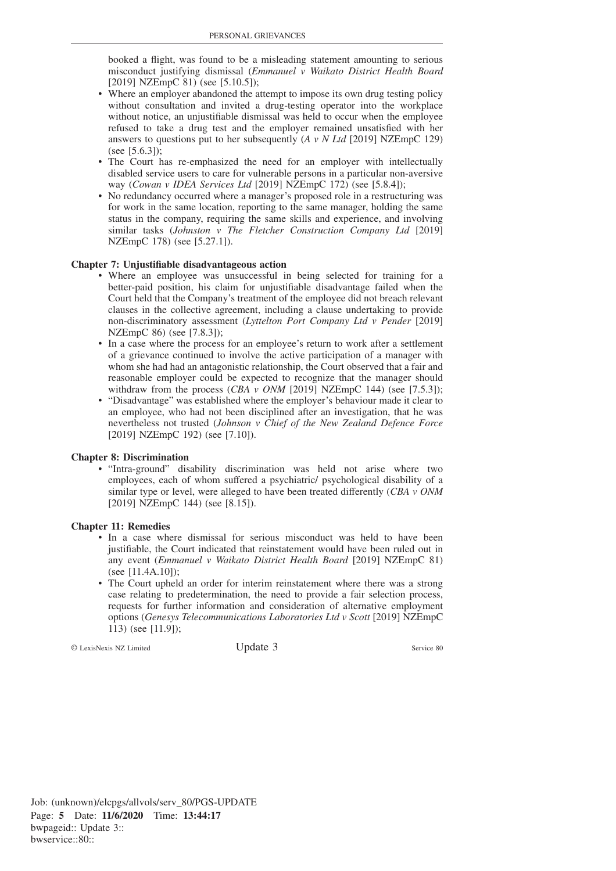booked a flight, was found to be a misleading statement amounting to serious misconduct justifying dismissal (*Emmanuel v Waikato District Health Board* [2019] NZEmpC 81) (see [5.10.5]);

- Where an employer abandoned the attempt to impose its own drug testing policy without consultation and invited a drug-testing operator into the workplace without notice, an unjustifiable dismissal was held to occur when the employee refused to take a drug test and the employer remained unsatisfied with her answers to questions put to her subsequently (*A v N Ltd* [2019] NZEmpC 129) (see [5.6.3]);
- The Court has re-emphasized the need for an employer with intellectually disabled service users to care for vulnerable persons in a particular non-aversive way (*Cowan v IDEA Services Ltd* [2019] NZEmpC 172) (see [5.8.4]);
- No redundancy occurred where a manager's proposed role in a restructuring was for work in the same location, reporting to the same manager, holding the same status in the company, requiring the same skills and experience, and involving similar tasks (*Johnston v The Fletcher Construction Company Ltd* [2019] NZEmpC 178) (see [5.27.1]).

#### **Chapter 7: Unjustifiable disadvantageous action**

- Where an employee was unsuccessful in being selected for training for a better-paid position, his claim for unjustifiable disadvantage failed when the Court held that the Company's treatment of the employee did not breach relevant clauses in the collective agreement, including a clause undertaking to provide non-discriminatory assessment (*Lyttelton Port Company Ltd v Pender* [2019] NZEmpC 86) (see [7.8.3]);
- In a case where the process for an employee's return to work after a settlement of a grievance continued to involve the active participation of a manager with whom she had had an antagonistic relationship, the Court observed that a fair and reasonable employer could be expected to recognize that the manager should withdraw from the process (*CBA v ONM* [2019] NZEmpC 144) (see [7.5.3]);
- "Disadvantage" was established where the employer's behaviour made it clear to an employee, who had not been disciplined after an investigation, that he was nevertheless not trusted (*Johnson v Chief of the New Zealand Defence Force* [2019] NZEmpC 192) (see [7.10]).

### **Chapter 8: Discrimination**

• "Intra-ground" disability discrimination was held not arise where two employees, each of whom suffered a psychiatric/ psychological disability of a similar type or level, were alleged to have been treated differently (*CBA v ONM* [2019] NZEmpC 144) (see [8.15]).

### **Chapter 11: Remedies**

- In a case where dismissal for serious misconduct was held to have been justifiable, the Court indicated that reinstatement would have been ruled out in any event (*Emmanuel v Waikato District Health Board* [2019] NZEmpC 81) (see [11.4A.10]);
- The Court upheld an order for interim reinstatement where there was a strong case relating to predetermination, the need to provide a fair selection process, requests for further information and consideration of alternative employment options (*Genesys Telecommunications Laboratories Ltd v Scott* [2019] NZEmpC 113) (see [11.9]);